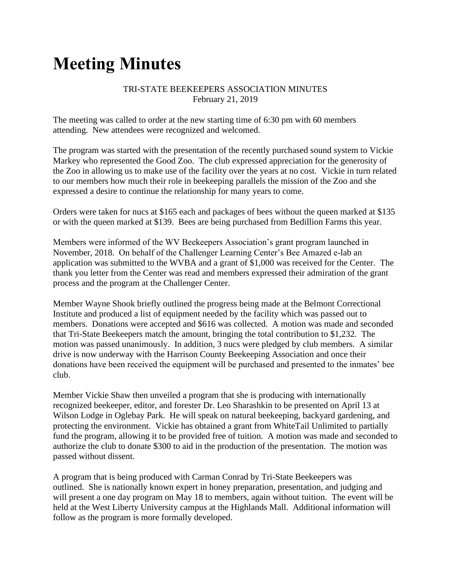# **Meeting Minutes**

### TRI-STATE BEEKEEPERS ASSOCIATION MINUTES February 21, 2019

The meeting was called to order at the new starting time of 6:30 pm with 60 members attending. New attendees were recognized and welcomed.

The program was started with the presentation of the recently purchased sound system to Vickie Markey who represented the Good Zoo. The club expressed appreciation for the generosity of the Zoo in allowing us to make use of the facility over the years at no cost. Vickie in turn related to our members how much their role in beekeeping parallels the mission of the Zoo and she expressed a desire to continue the relationship for many years to come.

Orders were taken for nucs at \$165 each and packages of bees without the queen marked at \$135 or with the queen marked at \$139. Bees are being purchased from Bedillion Farms this year.

Members were informed of the WV Beekeepers Association's grant program launched in November, 2018. On behalf of the Challenger Learning Center's Bee Amazed e-lab an application was submitted to the WVBA and a grant of \$1,000 was received for the Center. The thank you letter from the Center was read and members expressed their admiration of the grant process and the program at the Challenger Center.

Member Wayne Shook briefly outlined the progress being made at the Belmont Correctional Institute and produced a list of equipment needed by the facility which was passed out to members. Donations were accepted and \$616 was collected. A motion was made and seconded that Tri-State Beekeepers match the amount, bringing the total contribution to \$1,232. The motion was passed unanimously. In addition, 3 nucs were pledged by club members. A similar drive is now underway with the Harrison County Beekeeping Association and once their donations have been received the equipment will be purchased and presented to the inmates' bee club.

Member Vickie Shaw then unveiled a program that she is producing with internationally recognized beekeeper, editor, and forester Dr. Leo Sharashkin to be presented on April 13 at Wilson Lodge in Oglebay Park. He will speak on natural beekeeping, backyard gardening, and protecting the environment. Vickie has obtained a grant from WhiteTail Unlimited to partially fund the program, allowing it to be provided free of tuition. A motion was made and seconded to authorize the club to donate \$300 to aid in the production of the presentation. The motion was passed without dissent.

A program that is being produced with Carman Conrad by Tri-State Beekeepers was outlined. She is nationally known expert in honey preparation, presentation, and judging and will present a one day program on May 18 to members, again without tuition. The event will be held at the West Liberty University campus at the Highlands Mall. Additional information will follow as the program is more formally developed.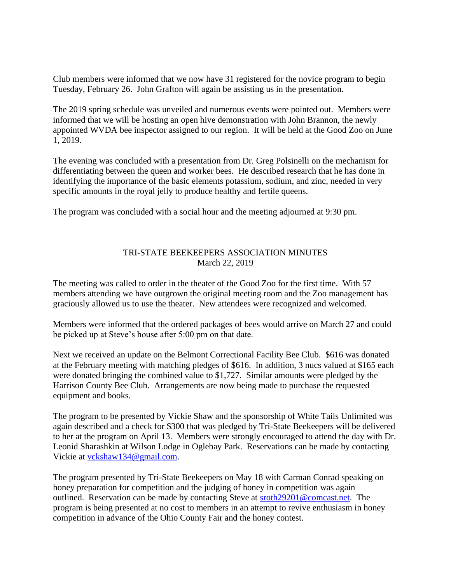Club members were informed that we now have 31 registered for the novice program to begin Tuesday, February 26. John Grafton will again be assisting us in the presentation.

The 2019 spring schedule was unveiled and numerous events were pointed out. Members were informed that we will be hosting an open hive demonstration with John Brannon, the newly appointed WVDA bee inspector assigned to our region. It will be held at the Good Zoo on June 1, 2019.

The evening was concluded with a presentation from Dr. Greg Polsinelli on the mechanism for differentiating between the queen and worker bees. He described research that he has done in identifying the importance of the basic elements potassium, sodium, and zinc, needed in very specific amounts in the royal jelly to produce healthy and fertile queens.

The program was concluded with a social hour and the meeting adjourned at 9:30 pm.

# TRI-STATE BEEKEEPERS ASSOCIATION MINUTES March 22, 2019

The meeting was called to order in the theater of the Good Zoo for the first time. With 57 members attending we have outgrown the original meeting room and the Zoo management has graciously allowed us to use the theater. New attendees were recognized and welcomed.

Members were informed that the ordered packages of bees would arrive on March 27 and could be picked up at Steve's house after 5:00 pm on that date.

Next we received an update on the Belmont Correctional Facility Bee Club. \$616 was donated at the February meeting with matching pledges of \$616. In addition, 3 nucs valued at \$165 each were donated bringing the combined value to \$1,727. Similar amounts were pledged by the Harrison County Bee Club. Arrangements are now being made to purchase the requested equipment and books.

The program to be presented by Vickie Shaw and the sponsorship of White Tails Unlimited was again described and a check for \$300 that was pledged by Tri-State Beekeepers will be delivered to her at the program on April 13. Members were strongly encouraged to attend the day with Dr. Leonid Sharashkin at Wilson Lodge in Oglebay Park. Reservations can be made by contacting Vickie at [vckshaw134@gmail.com.](mailto:vckshaw134@gmail.com)

The program presented by Tri-State Beekeepers on May 18 with Carman Conrad speaking on honey preparation for competition and the judging of honey in competition was again outlined. Reservation can be made by contacting Steve at [sroth29201@comcast.net.](mailto:sroth29201@comcast.net) The program is being presented at no cost to members in an attempt to revive enthusiasm in honey competition in advance of the Ohio County Fair and the honey contest.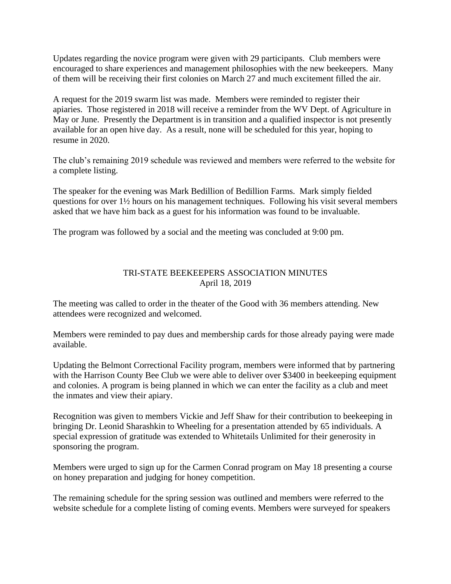Updates regarding the novice program were given with 29 participants. Club members were encouraged to share experiences and management philosophies with the new beekeepers. Many of them will be receiving their first colonies on March 27 and much excitement filled the air.

A request for the 2019 swarm list was made. Members were reminded to register their apiaries. Those registered in 2018 will receive a reminder from the WV Dept. of Agriculture in May or June. Presently the Department is in transition and a qualified inspector is not presently available for an open hive day. As a result, none will be scheduled for this year, hoping to resume in 2020.

The club's remaining 2019 schedule was reviewed and members were referred to the website for a complete listing.

The speaker for the evening was Mark Bedillion of Bedillion Farms. Mark simply fielded questions for over 1½ hours on his management techniques. Following his visit several members asked that we have him back as a guest for his information was found to be invaluable.

The program was followed by a social and the meeting was concluded at 9:00 pm.

# TRI-STATE BEEKEEPERS ASSOCIATION MINUTES April 18, 2019

The meeting was called to order in the theater of the Good with 36 members attending. New attendees were recognized and welcomed.

Members were reminded to pay dues and membership cards for those already paying were made available.

Updating the Belmont Correctional Facility program, members were informed that by partnering with the Harrison County Bee Club we were able to deliver over \$3400 in beekeeping equipment and colonies. A program is being planned in which we can enter the facility as a club and meet the inmates and view their apiary.

Recognition was given to members Vickie and Jeff Shaw for their contribution to beekeeping in bringing Dr. Leonid Sharashkin to Wheeling for a presentation attended by 65 individuals. A special expression of gratitude was extended to Whitetails Unlimited for their generosity in sponsoring the program.

Members were urged to sign up for the Carmen Conrad program on May 18 presenting a course on honey preparation and judging for honey competition.

The remaining schedule for the spring session was outlined and members were referred to the website schedule for a complete listing of coming events. Members were surveyed for speakers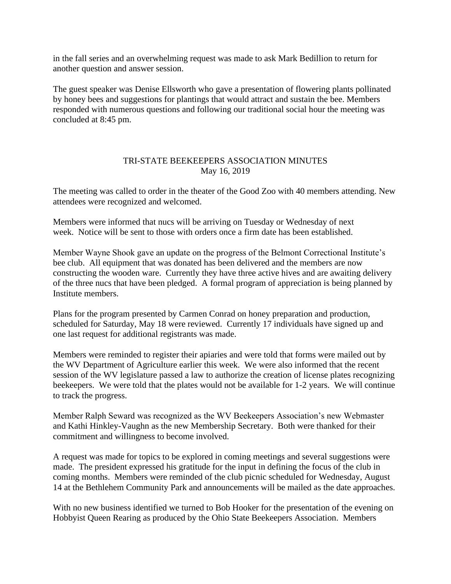in the fall series and an overwhelming request was made to ask Mark Bedillion to return for another question and answer session.

The guest speaker was Denise Ellsworth who gave a presentation of flowering plants pollinated by honey bees and suggestions for plantings that would attract and sustain the bee. Members responded with numerous questions and following our traditional social hour the meeting was concluded at 8:45 pm.

#### TRI-STATE BEEKEEPERS ASSOCIATION MINUTES May 16, 2019

The meeting was called to order in the theater of the Good Zoo with 40 members attending. New attendees were recognized and welcomed.

Members were informed that nucs will be arriving on Tuesday or Wednesday of next week. Notice will be sent to those with orders once a firm date has been established.

Member Wayne Shook gave an update on the progress of the Belmont Correctional Institute's bee club. All equipment that was donated has been delivered and the members are now constructing the wooden ware. Currently they have three active hives and are awaiting delivery of the three nucs that have been pledged. A formal program of appreciation is being planned by Institute members.

Plans for the program presented by Carmen Conrad on honey preparation and production, scheduled for Saturday, May 18 were reviewed. Currently 17 individuals have signed up and one last request for additional registrants was made.

Members were reminded to register their apiaries and were told that forms were mailed out by the WV Department of Agriculture earlier this week. We were also informed that the recent session of the WV legislature passed a law to authorize the creation of license plates recognizing beekeepers. We were told that the plates would not be available for 1-2 years. We will continue to track the progress.

Member Ralph Seward was recognized as the WV Beekeepers Association's new Webmaster and Kathi Hinkley-Vaughn as the new Membership Secretary. Both were thanked for their commitment and willingness to become involved.

A request was made for topics to be explored in coming meetings and several suggestions were made. The president expressed his gratitude for the input in defining the focus of the club in coming months. Members were reminded of the club picnic scheduled for Wednesday, August 14 at the Bethlehem Community Park and announcements will be mailed as the date approaches.

With no new business identified we turned to Bob Hooker for the presentation of the evening on Hobbyist Queen Rearing as produced by the Ohio State Beekeepers Association. Members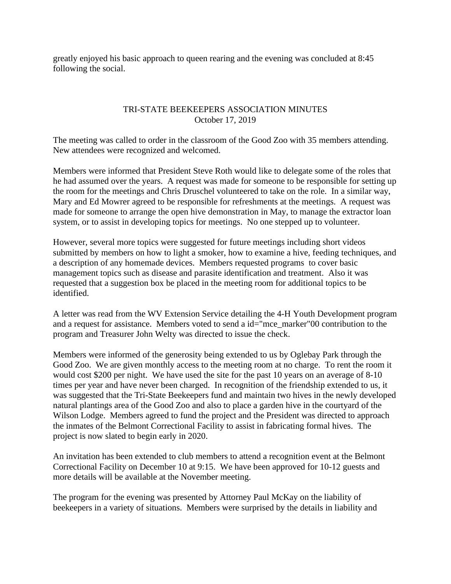greatly enjoyed his basic approach to queen rearing and the evening was concluded at 8:45 following the social.

### TRI-STATE BEEKEEPERS ASSOCIATION MINUTES October 17, 2019

The meeting was called to order in the classroom of the Good Zoo with 35 members attending. New attendees were recognized and welcomed.

Members were informed that President Steve Roth would like to delegate some of the roles that he had assumed over the years. A request was made for someone to be responsible for setting up the room for the meetings and Chris Druschel volunteered to take on the role. In a similar way, Mary and Ed Mowrer agreed to be responsible for refreshments at the meetings. A request was made for someone to arrange the open hive demonstration in May, to manage the extractor loan system, or to assist in developing topics for meetings. No one stepped up to volunteer.

However, several more topics were suggested for future meetings including short videos submitted by members on how to light a smoker, how to examine a hive, feeding techniques, and a description of any homemade devices. Members requested programs to cover basic management topics such as disease and parasite identification and treatment. Also it was requested that a suggestion box be placed in the meeting room for additional topics to be identified.

A letter was read from the WV Extension Service detailing the 4-H Youth Development program and a request for assistance. Members voted to send a id="mce\_marker"00 contribution to the program and Treasurer John Welty was directed to issue the check.

Members were informed of the generosity being extended to us by Oglebay Park through the Good Zoo. We are given monthly access to the meeting room at no charge. To rent the room it would cost \$200 per night. We have used the site for the past 10 years on an average of 8-10 times per year and have never been charged. In recognition of the friendship extended to us, it was suggested that the Tri-State Beekeepers fund and maintain two hives in the newly developed natural plantings area of the Good Zoo and also to place a garden hive in the courtyard of the Wilson Lodge. Members agreed to fund the project and the President was directed to approach the inmates of the Belmont Correctional Facility to assist in fabricating formal hives. The project is now slated to begin early in 2020.

An invitation has been extended to club members to attend a recognition event at the Belmont Correctional Facility on December 10 at 9:15. We have been approved for 10-12 guests and more details will be available at the November meeting.

The program for the evening was presented by Attorney Paul McKay on the liability of beekeepers in a variety of situations. Members were surprised by the details in liability and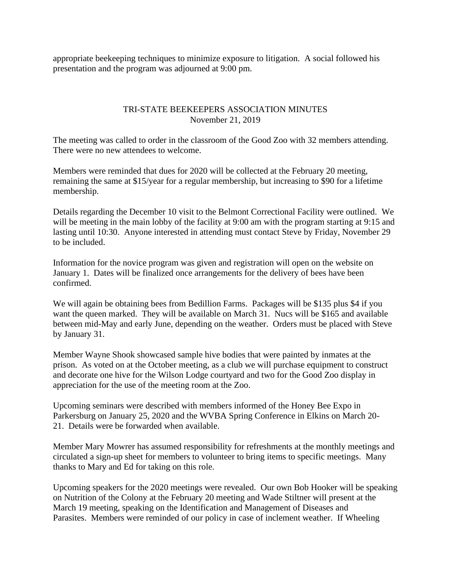appropriate beekeeping techniques to minimize exposure to litigation. A social followed his presentation and the program was adjourned at 9:00 pm.

#### TRI-STATE BEEKEEPERS ASSOCIATION MINUTES November 21, 2019

The meeting was called to order in the classroom of the Good Zoo with 32 members attending. There were no new attendees to welcome.

Members were reminded that dues for 2020 will be collected at the February 20 meeting, remaining the same at \$15/year for a regular membership, but increasing to \$90 for a lifetime membership.

Details regarding the December 10 visit to the Belmont Correctional Facility were outlined. We will be meeting in the main lobby of the facility at 9:00 am with the program starting at 9:15 and lasting until 10:30. Anyone interested in attending must contact Steve by Friday, November 29 to be included.

Information for the novice program was given and registration will open on the website on January 1. Dates will be finalized once arrangements for the delivery of bees have been confirmed.

We will again be obtaining bees from Bedillion Farms. Packages will be \$135 plus \$4 if you want the queen marked. They will be available on March 31. Nucs will be \$165 and available between mid-May and early June, depending on the weather. Orders must be placed with Steve by January 31.

Member Wayne Shook showcased sample hive bodies that were painted by inmates at the prison. As voted on at the October meeting, as a club we will purchase equipment to construct and decorate one hive for the Wilson Lodge courtyard and two for the Good Zoo display in appreciation for the use of the meeting room at the Zoo.

Upcoming seminars were described with members informed of the Honey Bee Expo in Parkersburg on January 25, 2020 and the WVBA Spring Conference in Elkins on March 20- 21. Details were be forwarded when available.

Member Mary Mowrer has assumed responsibility for refreshments at the monthly meetings and circulated a sign-up sheet for members to volunteer to bring items to specific meetings. Many thanks to Mary and Ed for taking on this role.

Upcoming speakers for the 2020 meetings were revealed. Our own Bob Hooker will be speaking on Nutrition of the Colony at the February 20 meeting and Wade Stiltner will present at the March 19 meeting, speaking on the Identification and Management of Diseases and Parasites. Members were reminded of our policy in case of inclement weather. If Wheeling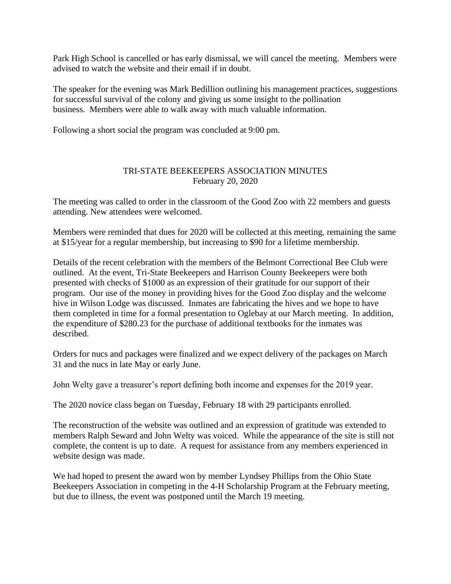Park High School is cancelled or has early dismissal, we will cancel the meeting. Members were advised to watch the website and their email if in doubt.

The speaker for the evening was Mark Bedillion outlining his management practices, suggestions for successful survival of the colony and giving us some insight to the pollination business. Members were able to walk away with much valuable information.

Following a short social the program was concluded at 9:00 pm.

### TRI-STATE BEEKEEPERS ASSOCIATION MINUTES February 20, 2020

The meeting was called to order in the classroom of the Good Zoo with 22 members and guests attending. New attendees were welcomed.

Members were reminded that dues for 2020 will be collected at this meeting, remaining the same at \$15/year for a regular membership, but increasing to \$90 for a lifetime membership.

Details of the recent celebration with the members of the Belmont Correctional Bee Club were outlined. At the event, Tri-State Beekeepers and Harrison County Beekeepers were both presented with checks of \$1000 as an expression of their gratitude for our support of their program. Our use of the money in providing hives for the Good Zoo display and the welcome hive in Wilson Lodge was discussed. Inmates are fabricating the hives and we hope to have them completed in time for a formal presentation to Oglebay at our March meeting. In addition, the expenditure of \$280.23 for the purchase of additional textbooks for the inmates was described.

Orders for nucs and packages were finalized and we expect delivery of the packages on March 31 and the nucs in late May or early June.

John Welty gave a treasurer's report defining both income and expenses for the 2019 year.

The 2020 novice class began on Tuesday, February 18 with 29 participants enrolled.

The reconstruction of the website was outlined and an expression of gratitude was extended to members Ralph Seward and John Welty was voiced. While the appearance of the site is still not complete, the content is up to date. A request for assistance from any members experienced in website design was made.

We had hoped to present the award won by member Lyndsey Phillips from the Ohio State Beekeepers Association in competing in the 4-H Scholarship Program at the February meeting, but due to illness, the event was postponed until the March 19 meeting.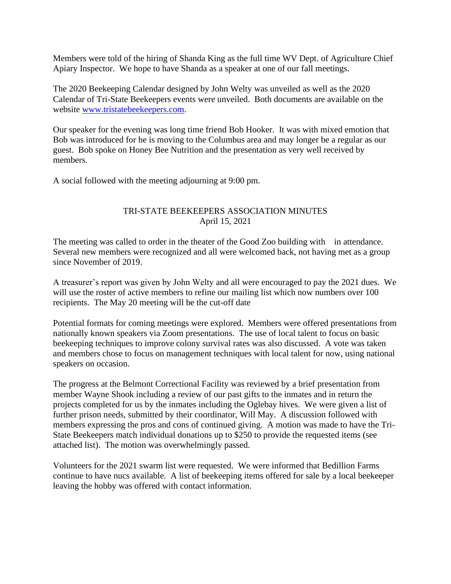Members were told of the hiring of Shanda King as the full time WV Dept. of Agriculture Chief Apiary Inspector. We hope to have Shanda as a speaker at one of our fall meetings.

The 2020 Beekeeping Calendar designed by John Welty was unveiled as well as the 2020 Calendar of Tri-State Beekeepers events were unveiled. Both documents are available on the website [www.tristatebeekeepers.com.](http://www.tristatebeekeepers.com/)

Our speaker for the evening was long time friend Bob Hooker. It was with mixed emotion that Bob was introduced for he is moving to the Columbus area and may longer be a regular as our guest. Bob spoke on Honey Bee Nutrition and the presentation as very well received by members.

A social followed with the meeting adjourning at 9:00 pm.

# TRI-STATE BEEKEEPERS ASSOCIATION MINUTES April 15, 2021

The meeting was called to order in the theater of the Good Zoo building with in attendance. Several new members were recognized and all were welcomed back, not having met as a group since November of 2019.

A treasurer's report was given by John Welty and all were encouraged to pay the 2021 dues. We will use the roster of active members to refine our mailing list which now numbers over 100 recipients. The May 20 meeting will be the cut-off date

Potential formats for coming meetings were explored. Members were offered presentations from nationally known speakers via Zoom presentations. The use of local talent to focus on basic beekeeping techniques to improve colony survival rates was also discussed. A vote was taken and members chose to focus on management techniques with local talent for now, using national speakers on occasion.

The progress at the Belmont Correctional Facility was reviewed by a brief presentation from member Wayne Shook including a review of our past gifts to the inmates and in return the projects completed for us by the inmates including the Oglebay hives. We were given a list of further prison needs, submitted by their coordinator, Will May. A discussion followed with members expressing the pros and cons of continued giving. A motion was made to have the Tri-State Beekeepers match individual donations up to \$250 to provide the requested items (see attached list). The motion was overwhelmingly passed.

Volunteers for the 2021 swarm list were requested. We were informed that Bedillion Farms continue to have nucs available. A list of beekeeping items offered for sale by a local beekeeper leaving the hobby was offered with contact information.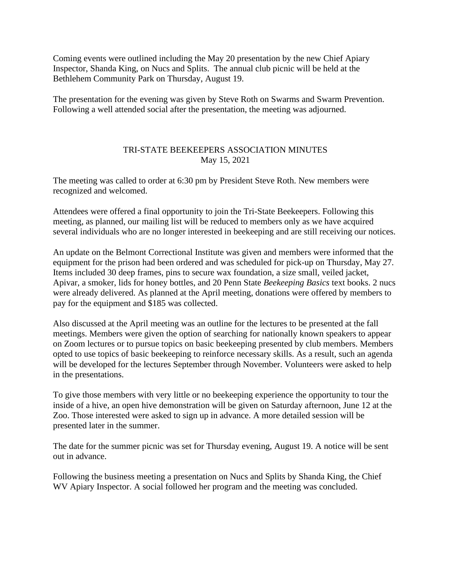Coming events were outlined including the May 20 presentation by the new Chief Apiary Inspector, Shanda King, on Nucs and Splits. The annual club picnic will be held at the Bethlehem Community Park on Thursday, August 19.

The presentation for the evening was given by Steve Roth on Swarms and Swarm Prevention. Following a well attended social after the presentation, the meeting was adjourned.

#### TRI-STATE BEEKEEPERS ASSOCIATION MINUTES May 15, 2021

The meeting was called to order at 6:30 pm by President Steve Roth. New members were recognized and welcomed.

Attendees were offered a final opportunity to join the Tri-State Beekeepers. Following this meeting, as planned, our mailing list will be reduced to members only as we have acquired several individuals who are no longer interested in beekeeping and are still receiving our notices.

An update on the Belmont Correctional Institute was given and members were informed that the equipment for the prison had been ordered and was scheduled for pick-up on Thursday, May 27. Items included 30 deep frames, pins to secure wax foundation, a size small, veiled jacket, Apivar, a smoker, lids for honey bottles, and 20 Penn State *Beekeeping Basics* text books. 2 nucs were already delivered. As planned at the April meeting, donations were offered by members to pay for the equipment and \$185 was collected.

Also discussed at the April meeting was an outline for the lectures to be presented at the fall meetings. Members were given the option of searching for nationally known speakers to appear on Zoom lectures or to pursue topics on basic beekeeping presented by club members. Members opted to use topics of basic beekeeping to reinforce necessary skills. As a result, such an agenda will be developed for the lectures September through November. Volunteers were asked to help in the presentations.

To give those members with very little or no beekeeping experience the opportunity to tour the inside of a hive, an open hive demonstration will be given on Saturday afternoon, June 12 at the Zoo. Those interested were asked to sign up in advance. A more detailed session will be presented later in the summer.

The date for the summer picnic was set for Thursday evening, August 19. A notice will be sent out in advance.

Following the business meeting a presentation on Nucs and Splits by Shanda King, the Chief WV Apiary Inspector. A social followed her program and the meeting was concluded.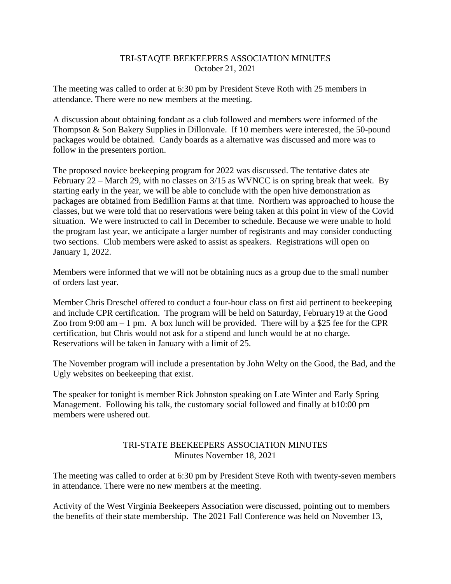#### TRI-STAQTE BEEKEEPERS ASSOCIATION MINUTES October 21, 2021

The meeting was called to order at 6:30 pm by President Steve Roth with 25 members in attendance. There were no new members at the meeting.

A discussion about obtaining fondant as a club followed and members were informed of the Thompson & Son Bakery Supplies in Dillonvale. If 10 members were interested, the 50-pound packages would be obtained. Candy boards as a alternative was discussed and more was to follow in the presenters portion.

The proposed novice beekeeping program for 2022 was discussed. The tentative dates ate February 22 – March 29, with no classes on 3/15 as WVNCC is on spring break that week. By starting early in the year, we will be able to conclude with the open hive demonstration as packages are obtained from Bedillion Farms at that time. Northern was approached to house the classes, but we were told that no reservations were being taken at this point in view of the Covid situation. We were instructed to call in December to schedule. Because we were unable to hold the program last year, we anticipate a larger number of registrants and may consider conducting two sections. Club members were asked to assist as speakers. Registrations will open on January 1, 2022.

Members were informed that we will not be obtaining nucs as a group due to the small number of orders last year.

Member Chris Dreschel offered to conduct a four-hour class on first aid pertinent to beekeeping and include CPR certification. The program will be held on Saturday, February19 at the Good Zoo from 9:00 am  $-1$  pm. A box lunch will be provided. There will by a \$25 fee for the CPR certification, but Chris would not ask for a stipend and lunch would be at no charge. Reservations will be taken in January with a limit of 25.

The November program will include a presentation by John Welty on the Good, the Bad, and the Ugly websites on beekeeping that exist.

The speaker for tonight is member Rick Johnston speaking on Late Winter and Early Spring Management. Following his talk, the customary social followed and finally at b10:00 pm members were ushered out.

# TRI-STATE BEEKEEPERS ASSOCIATION MINUTES Minutes November 18, 2021

The meeting was called to order at 6:30 pm by President Steve Roth with twenty-seven members in attendance. There were no new members at the meeting.

Activity of the West Virginia Beekeepers Association were discussed, pointing out to members the benefits of their state membership. The 2021 Fall Conference was held on November 13,